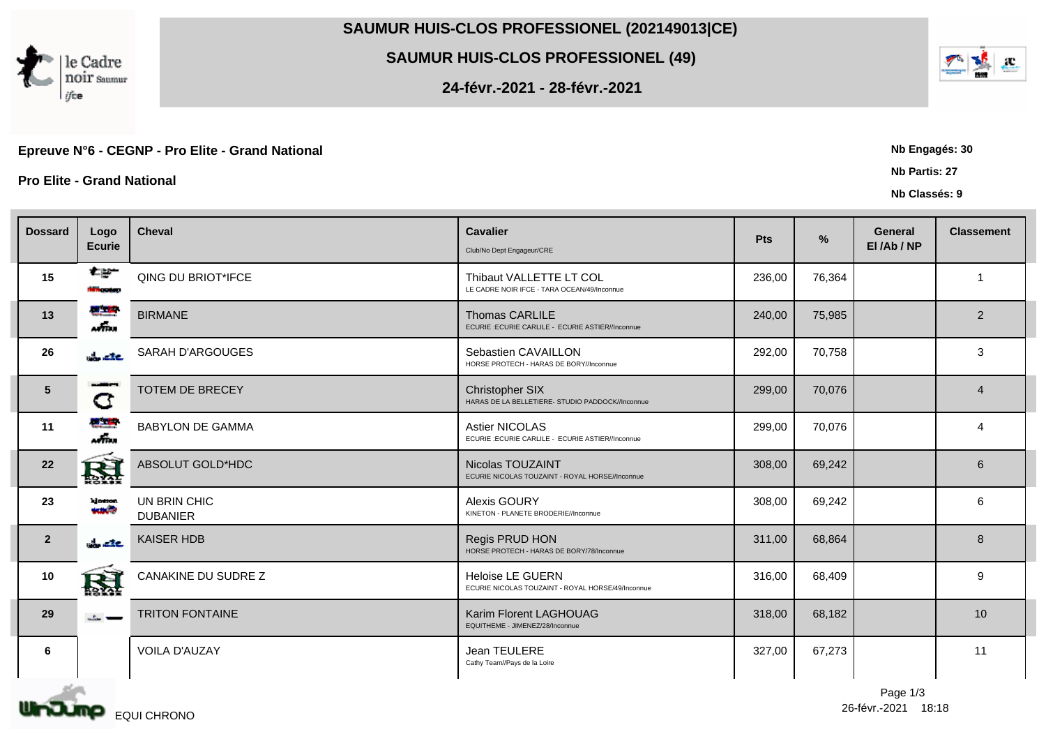## **SAUMUR HUIS-CLOS PROFESSIONEL (202149013|CE)**

## **SAUMUR HUIS-CLOS PROFESSIONEL (49)**

**24-févr.-2021 - 28-févr.-2021**

## Epreuve N°6 - CEGNP - Pro Elite - Grand National **Network Contract Contract Contract Contract Contract Contract Contract Contract Contract Contract Contract Contract Contract Contract Contract Contract Contract Contract Co**

**Pro Elite - Grand National Nb Partis: 27**

le Cadre

noir saumur

ifce

| <b>Dossard</b>  | Logo<br><b>Ecurie</b>         | <b>Cheval</b>                   | <b>Cavalier</b><br>Club/No Dept Engageur/CRE                                 | Pts    | $\frac{9}{6}$ | <b>General</b><br>El/Ab/NP | <b>Classement</b> |  |
|-----------------|-------------------------------|---------------------------------|------------------------------------------------------------------------------|--------|---------------|----------------------------|-------------------|--|
| 15              | 在部一<br><b>Home and and I</b>  | QING DU BRIOT*IFCE              | Thibaut VALLETTE LT COL<br>LE CADRE NOIR IFCE - TARA OCEAN/49/Inconnue       | 236,00 | 76,364        |                            | $\overline{1}$    |  |
| 13              | <b>W. THE</b><br>$\sqrt{m}$ . | <b>BIRMANE</b>                  | <b>Thomas CARLILE</b><br>ECURIE :ECURIE CARLILE - ECURIE ASTIER//Inconnue    | 240,00 | 75,985        |                            | 2                 |  |
| 26              | <b>Control</b>                | SARAH D'ARGOUGES                | Sebastien CAVAILLON<br>HORSE PROTECH - HARAS DE BORY//Inconnue               | 292,00 | 70,758        |                            | 3                 |  |
| $5\overline{)}$ | ---<br>G                      | <b>TOTEM DE BRECEY</b>          | Christopher SIX<br>HARAS DE LA BELLETIERE- STUDIO PADDOCK//Inconnue          | 299,00 | 70,076        |                            | $\overline{4}$    |  |
| 11              | <b>MAR</b><br>$\sqrt{m}$ .    | <b>BABYLON DE GAMMA</b>         | <b>Astier NICOLAS</b><br>ECURIE :ECURIE CARLILE - ECURIE ASTIER//Inconnue    | 299,00 | 70,076        |                            | $\overline{4}$    |  |
| 22              | 圏                             | ABSOLUT GOLD*HDC                | Nicolas TOUZAINT<br>ECURIE NICOLAS TOUZAINT - ROYAL HORSE//Inconnue          | 308,00 | 69,242        |                            | 6                 |  |
| 23              | kin ton<br>حتمده              | UN BRIN CHIC<br><b>DUBANIER</b> | Alexis GOURY<br>KINETON - PLANETE BRODERIE//Inconnue                         | 308,00 | 69,242        |                            | 6                 |  |
| $\overline{2}$  | $\frac{1}{2}$ are             | <b>KAISER HDB</b>               | Regis PRUD HON<br>HORSE PROTECH - HARAS DE BORY/78/Inconnue                  | 311,00 | 68,864        |                            | 8                 |  |
| 10              | 圏                             | CANAKINE DU SUDRE Z             | <b>Heloise LE GUERN</b><br>ECURIE NICOLAS TOUZAINT - ROYAL HORSE/49/Inconnue | 316,00 | 68,409        |                            | 9                 |  |
| 29              | صد علم                        | <b>TRITON FONTAINE</b>          | Karim Florent LAGHOUAG<br>EQUITHEME - JIMENEZ/28/Inconnue                    | 318,00 | 68,182        |                            | 10                |  |
| 6               |                               | <b>VOILA D'AUZAY</b>            | Jean TEULERE<br>Cathy Team//Pays de la Loire                                 | 327,00 | 67,273        |                            | 11                |  |

26-févr.-2021 Page 1/3



**Nb Classés: 9**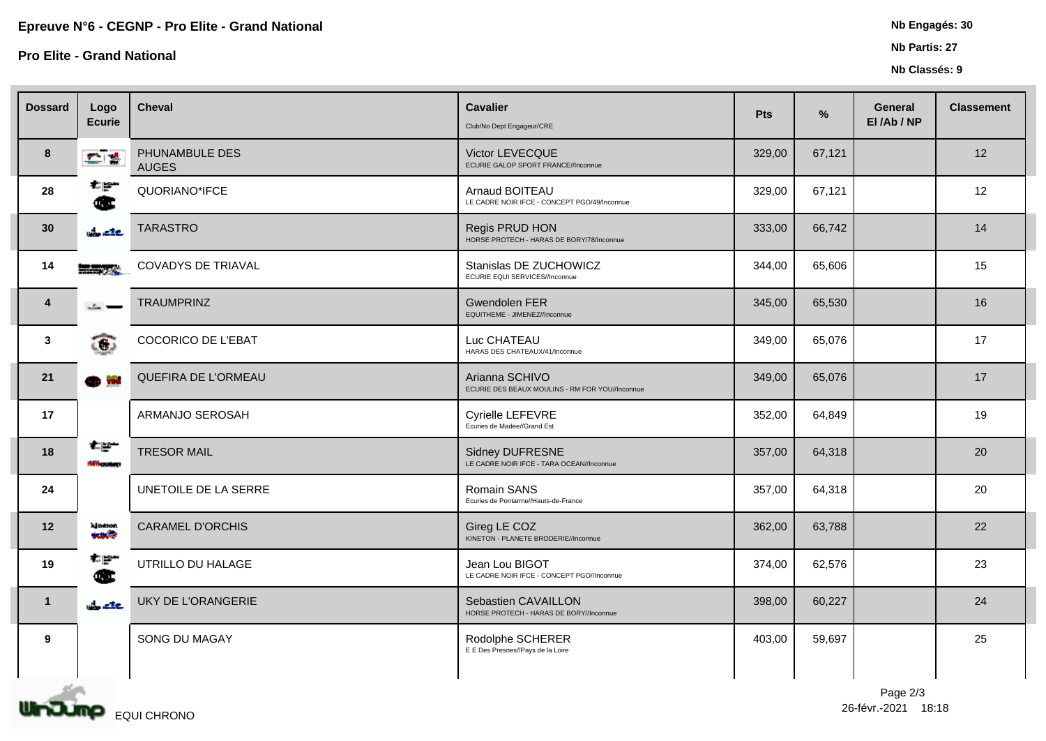**Pro Elite - Grand National Nb Partis: 27**

## **Nb Classés: 9**

| <b>Dossard</b>          | Logo<br><b>Ecurie</b>     | <b>Cheval</b>                  | <b>Cavalier</b><br>Club/No Dept Engageur/CRE                      | Pts    | %      | <b>General</b><br>El/Ab/NP | <b>Classement</b> |
|-------------------------|---------------------------|--------------------------------|-------------------------------------------------------------------|--------|--------|----------------------------|-------------------|
| 8                       | 木橋                        | PHUNAMBULE DES<br><b>AUGES</b> | Victor LEVECQUE<br>ECURIE GALOP SPORT FRANCE//Inconnue            | 329,00 | 67,121 |                            | 12                |
| 28                      | 松野<br>Œ                   | QUORIANO*IFCE                  | Arnaud BOITEAU<br>LE CADRE NOIR IFCE - CONCEPT PGO/49/Inconnue    | 329,00 | 67,121 |                            | 12                |
| 30                      | $\frac{1}{2}$ are         | <b>TARASTRO</b>                | Regis PRUD HON<br>HORSE PROTECH - HARAS DE BORY/78/Inconnue       | 333,00 | 66,742 |                            | 14                |
| 14                      | $  24$                    | <b>COVADYS DE TRIAVAL</b>      | Stanislas DE ZUCHOWICZ<br>ECURIE EQUI SERVICES//Inconnue          | 344,00 | 65,606 |                            | 15                |
| $\overline{\mathbf{4}}$ | مسعد البكت                | <b>TRAUMPRINZ</b>              | <b>Gwendolen FER</b><br>EQUITHEME - JIMENEZ//Inconnue             | 345,00 | 65,530 |                            | 16                |
| 3                       | ෬                         | COCORICO DE L'EBAT             | Luc CHATEAU<br>HARAS DES CHATEAUX/41/Inconnue                     | 349,00 | 65,076 |                            | 17                |
| 21                      | ob mi                     | QUEFIRA DE L'ORMEAU            | Arianna SCHIVO<br>ECURIE DES BEAUX MOULINS - RM FOR YOU//Inconnue | 349,00 | 65,076 |                            | 17                |
| 17                      |                           | ARMANJO SEROSAH                | Cyrielle LEFEVRE<br>Ecuries de Madee//Grand Est                   | 352,00 | 64,849 |                            | 19                |
| 18                      | 在部一<br><b>tern</b> and up | <b>TRESOR MAIL</b>             | Sidney DUFRESNE<br>LE CADRE NOIR IFCE - TARA OCEAN//Inconnue      | 357,00 | 64,318 |                            | 20                |
| 24                      |                           | UNETOILE DE LA SERRE           | Romain SANS<br>Ecuries de Pontarme//Hauts-de-France               | 357,00 | 64,318 |                            | 20                |
| 12                      | kington<br>حلصه           | <b>CARAMEL D'ORCHIS</b>        | Gireg LE COZ<br>KINETON - PLANETE BRODERIE//Inconnue              | 362,00 | 63,788 |                            | 22                |
| 19                      | 지금<br>Œ                   | UTRILLO DU HALAGE              | Jean Lou BIGOT<br>LE CADRE NOIR IFCE - CONCEPT PGO//Inconnue      | 374,00 | 62,576 |                            | 23                |
| $\mathbf{1}$            | <b>Contact</b>            | UKY DE L'ORANGERIE             | Sebastien CAVAILLON<br>HORSE PROTECH - HARAS DE BORY//Inconnue    | 398,00 | 60,227 |                            | 24                |
| 9                       |                           | SONG DU MAGAY                  | Rodolphe SCHERER<br>E E Des Presnes//Pays de la Loire             | 403,00 | 59,697 |                            | 25                |
|                         |                           |                                |                                                                   |        |        |                            |                   |



26-févr.-2021 Page 2/3